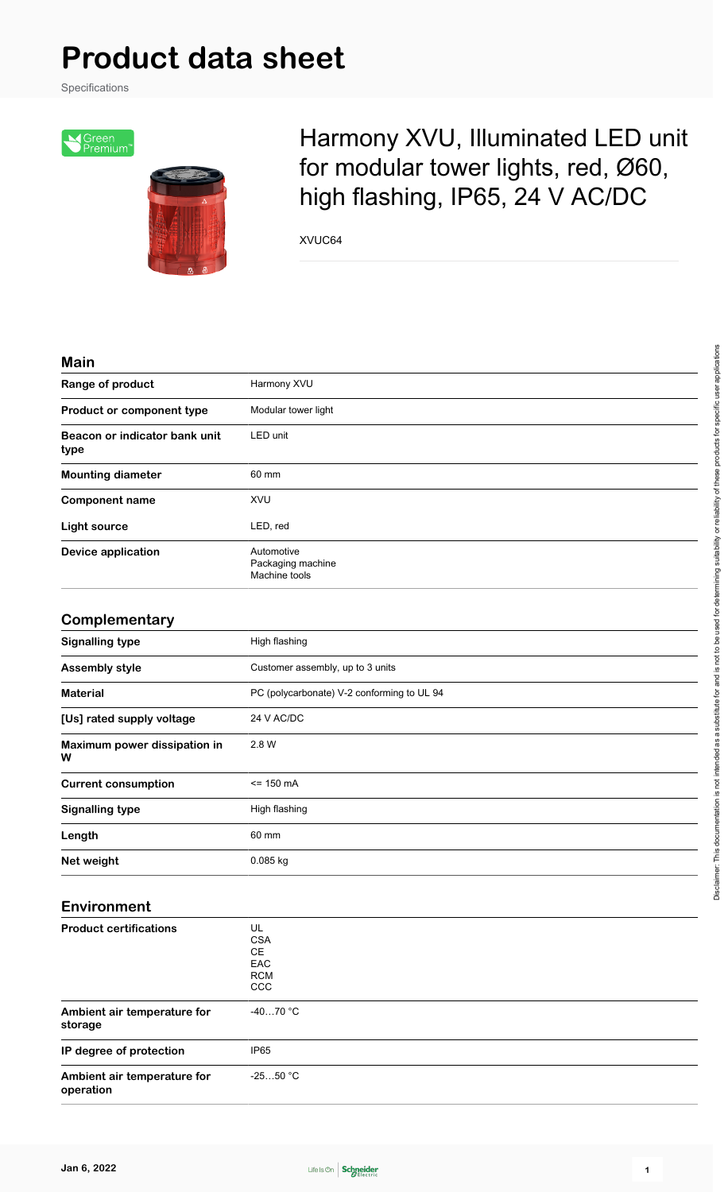# **Product data sheet**

Specifications



## Harmony XVU, Illuminated LED unit for modular tower lights, red, Ø60, high flashing, IP65, 24 V AC/DC

XVUC64

#### **Main**

| Range of product                      | Harmony XVU                                      |
|---------------------------------------|--------------------------------------------------|
| Product or component type             | Modular tower light                              |
| Beacon or indicator bank unit<br>type | LED unit                                         |
| <b>Mounting diameter</b>              | 60 mm                                            |
| <b>Component name</b>                 | XVU                                              |
| <b>Light source</b>                   | LED, red                                         |
| <b>Device application</b>             | Automotive<br>Packaging machine<br>Machine tools |
| Complementary                         |                                                  |
| <b>Signalling type</b>                | High flashing                                    |
| <b>Assembly style</b>                 | Customer assembly, up to 3 units                 |
| <b>Material</b>                       | PC (polycarbonate) V-2 conforming to UL 94       |
| [Us] rated supply voltage             | 24 V AC/DC                                       |
| Maximum power dissipation in<br>W     | 2.8 W                                            |
| <b>Current consumption</b>            | $= 150 \text{ mA}$                               |
| <b>Signalling type</b>                | High flashing                                    |
| Length                                | 60 mm                                            |
| Net weight                            | 0.085 kg                                         |
|                                       |                                                  |

#### **Environment**

| <b>Product certifications</b>            | UL<br><b>CSA</b><br><b>CE</b><br><b>EAC</b><br><b>RCM</b><br><b>CCC</b> |
|------------------------------------------|-------------------------------------------------------------------------|
| Ambient air temperature for<br>storage   | -4070 $^{\circ}$ C                                                      |
| IP degree of protection                  | IP <sub>65</sub>                                                        |
| Ambient air temperature for<br>operation | $-2550 °C$                                                              |

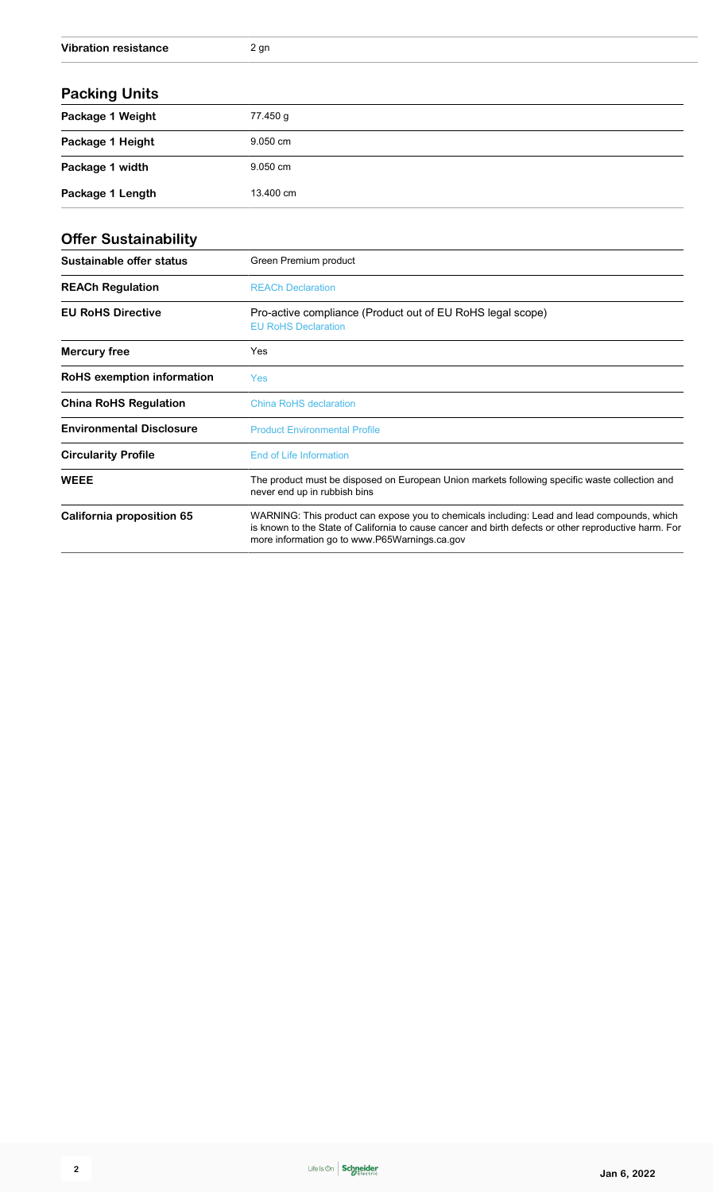| <b>Vibration resistance</b>       | $2$ gn                                                                                                                                                                                                                                                |
|-----------------------------------|-------------------------------------------------------------------------------------------------------------------------------------------------------------------------------------------------------------------------------------------------------|
| <b>Packing Units</b>              |                                                                                                                                                                                                                                                       |
| Package 1 Weight                  | 77.450 g                                                                                                                                                                                                                                              |
| Package 1 Height                  | 9.050 cm                                                                                                                                                                                                                                              |
| Package 1 width                   | 9.050 cm                                                                                                                                                                                                                                              |
| Package 1 Length                  | 13.400 cm                                                                                                                                                                                                                                             |
| <b>Offer Sustainability</b>       |                                                                                                                                                                                                                                                       |
| Sustainable offer status          | Green Premium product                                                                                                                                                                                                                                 |
| <b>REACh Regulation</b>           | <b>REACh Declaration</b>                                                                                                                                                                                                                              |
| <b>EU RoHS Directive</b>          | Pro-active compliance (Product out of EU RoHS legal scope)<br><b>EU RoHS Declaration</b>                                                                                                                                                              |
| Mercury free                      | Yes                                                                                                                                                                                                                                                   |
| <b>RoHS exemption information</b> | Yes                                                                                                                                                                                                                                                   |
| <b>China RoHS Regulation</b>      | <b>China RoHS declaration</b>                                                                                                                                                                                                                         |
| <b>Environmental Disclosure</b>   | <b>Product Environmental Profile</b>                                                                                                                                                                                                                  |
| <b>Circularity Profile</b>        | <b>End of Life Information</b>                                                                                                                                                                                                                        |
| <b>WEEE</b>                       | The product must be disposed on European Union markets following specific waste collection and<br>never end up in rubbish bins                                                                                                                        |
| California proposition 65         | WARNING: This product can expose you to chemicals including: Lead and lead compounds, which<br>is known to the State of California to cause cancer and birth defects or other reproductive harm. For<br>more information go to www.P65Warnings.ca.gov |